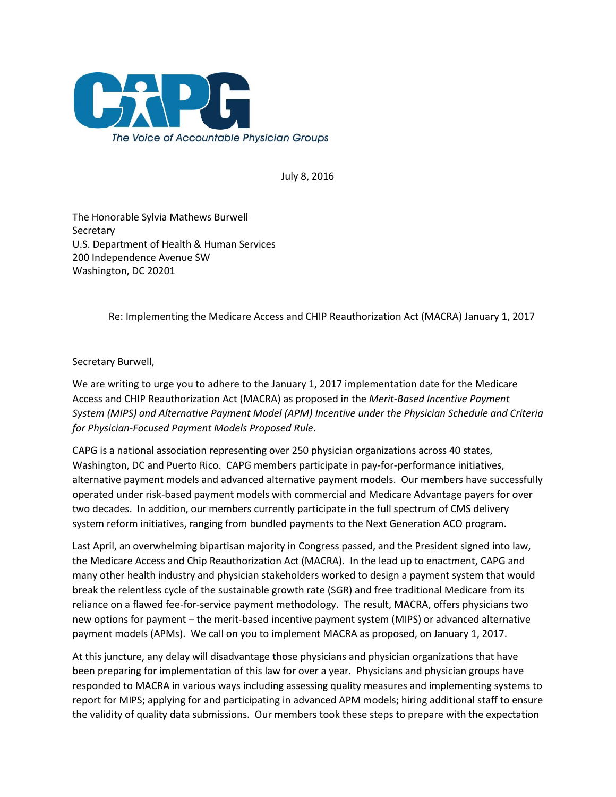

July 8, 2016

The Honorable Sylvia Mathews Burwell Secretary U.S. Department of Health & Human Services 200 Independence Avenue SW Washington, DC 20201

Re: Implementing the Medicare Access and CHIP Reauthorization Act (MACRA) January 1, 2017

## Secretary Burwell,

We are writing to urge you to adhere to the January 1, 2017 implementation date for the Medicare Access and CHIP Reauthorization Act (MACRA) as proposed in the *Merit-Based Incentive Payment System (MIPS) and Alternative Payment Model (APM) Incentive under the Physician Schedule and Criteria for Physician-Focused Payment Models Proposed Rule*.

CAPG is a national association representing over 250 physician organizations across 40 states, Washington, DC and Puerto Rico. CAPG members participate in pay-for-performance initiatives, alternative payment models and advanced alternative payment models. Our members have successfully operated under risk-based payment models with commercial and Medicare Advantage payers for over two decades. In addition, our members currently participate in the full spectrum of CMS delivery system reform initiatives, ranging from bundled payments to the Next Generation ACO program.

Last April, an overwhelming bipartisan majority in Congress passed, and the President signed into law, the Medicare Access and Chip Reauthorization Act (MACRA). In the lead up to enactment, CAPG and many other health industry and physician stakeholders worked to design a payment system that would break the relentless cycle of the sustainable growth rate (SGR) and free traditional Medicare from its reliance on a flawed fee-for-service payment methodology. The result, MACRA, offers physicians two new options for payment – the merit-based incentive payment system (MIPS) or advanced alternative payment models (APMs). We call on you to implement MACRA as proposed, on January 1, 2017.

At this juncture, any delay will disadvantage those physicians and physician organizations that have been preparing for implementation of this law for over a year. Physicians and physician groups have responded to MACRA in various ways including assessing quality measures and implementing systems to report for MIPS; applying for and participating in advanced APM models; hiring additional staff to ensure the validity of quality data submissions. Our members took these steps to prepare with the expectation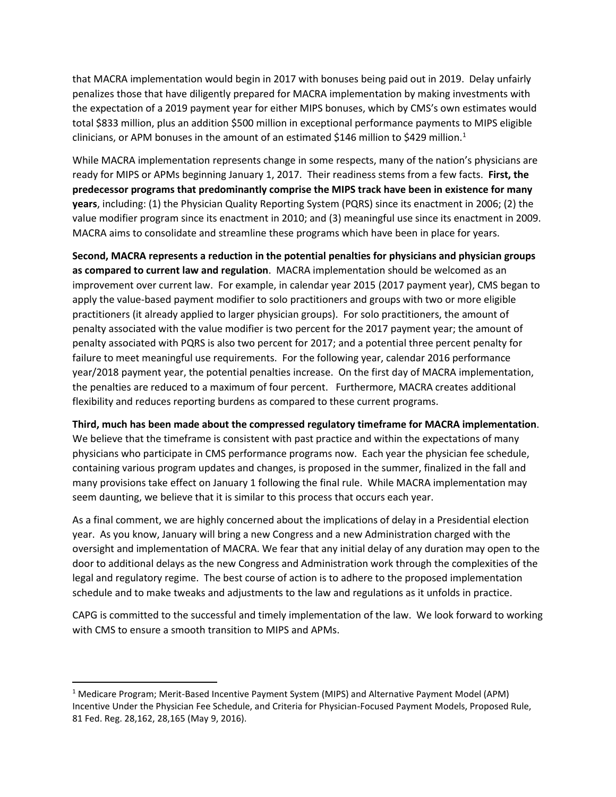that MACRA implementation would begin in 2017 with bonuses being paid out in 2019. Delay unfairly penalizes those that have diligently prepared for MACRA implementation by making investments with the expectation of a 2019 payment year for either MIPS bonuses, which by CMS's own estimates would total \$833 million, plus an addition \$500 million in exceptional performance payments to MIPS eligible clinicians, or APM bonuses in the amount of an estimated \$146 million to \$429 million.<sup>1</sup>

While MACRA implementation represents change in some respects, many of the nation's physicians are ready for MIPS or APMs beginning January 1, 2017. Their readiness stems from a few facts. **First, the predecessor programs that predominantly comprise the MIPS track have been in existence for many years**, including: (1) the Physician Quality Reporting System (PQRS) since its enactment in 2006; (2) the value modifier program since its enactment in 2010; and (3) meaningful use since its enactment in 2009. MACRA aims to consolidate and streamline these programs which have been in place for years.

**Second, MACRA represents a reduction in the potential penalties for physicians and physician groups as compared to current law and regulation**. MACRA implementation should be welcomed as an improvement over current law. For example, in calendar year 2015 (2017 payment year), CMS began to apply the value-based payment modifier to solo practitioners and groups with two or more eligible practitioners (it already applied to larger physician groups). For solo practitioners, the amount of penalty associated with the value modifier is two percent for the 2017 payment year; the amount of penalty associated with PQRS is also two percent for 2017; and a potential three percent penalty for failure to meet meaningful use requirements. For the following year, calendar 2016 performance year/2018 payment year, the potential penalties increase. On the first day of MACRA implementation, the penalties are reduced to a maximum of four percent. Furthermore, MACRA creates additional flexibility and reduces reporting burdens as compared to these current programs.

**Third, much has been made about the compressed regulatory timeframe for MACRA implementation**. We believe that the timeframe is consistent with past practice and within the expectations of many physicians who participate in CMS performance programs now. Each year the physician fee schedule, containing various program updates and changes, is proposed in the summer, finalized in the fall and many provisions take effect on January 1 following the final rule. While MACRA implementation may seem daunting, we believe that it is similar to this process that occurs each year.

As a final comment, we are highly concerned about the implications of delay in a Presidential election year. As you know, January will bring a new Congress and a new Administration charged with the oversight and implementation of MACRA. We fear that any initial delay of any duration may open to the door to additional delays as the new Congress and Administration work through the complexities of the legal and regulatory regime. The best course of action is to adhere to the proposed implementation schedule and to make tweaks and adjustments to the law and regulations as it unfolds in practice.

CAPG is committed to the successful and timely implementation of the law. We look forward to working with CMS to ensure a smooth transition to MIPS and APMs.

 $\overline{\phantom{a}}$ 

<sup>&</sup>lt;sup>1</sup> Medicare Program; Merit-Based Incentive Payment System (MIPS) and Alternative Payment Model (APM) Incentive Under the Physician Fee Schedule, and Criteria for Physician-Focused Payment Models, Proposed Rule, 81 Fed. Reg. 28,162, 28,165 (May 9, 2016).